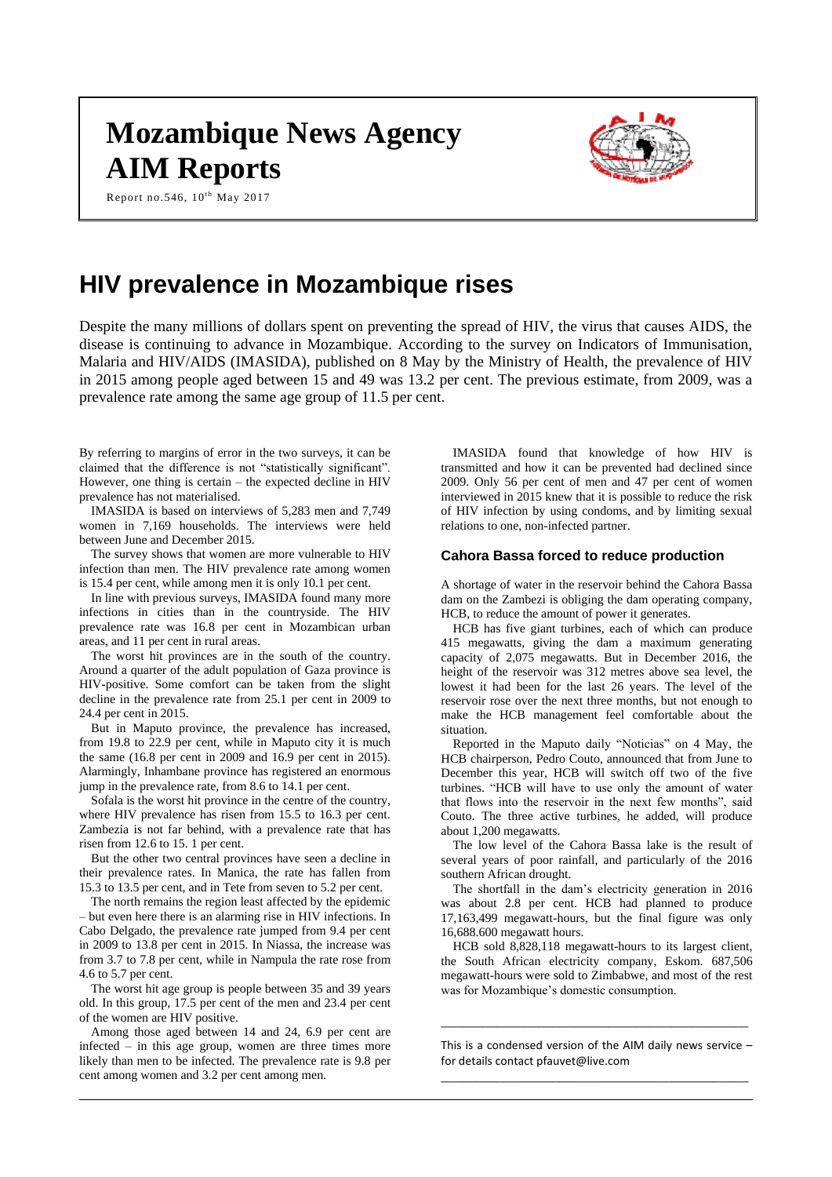# **Mozambique News Agency AIM Reports**

Report no.546,  $10^{th}$  May 2017



# **HIV prevalence in Mozambique rises**

Despite the many millions of dollars spent on preventing the spread of HIV, the virus that causes AIDS, the disease is continuing to advance in Mozambique. According to the survey on Indicators of Immunisation, Malaria and HIV/AIDS (IMASIDA), published on 8 May by the Ministry of Health, the prevalence of HIV in 2015 among people aged between 15 and 49 was 13.2 per cent. The previous estimate, from 2009, was a prevalence rate among the same age group of 11.5 per cent.

By referring to margins of error in the two surveys, it can be claimed that the difference is not "statistically significant". However, one thing is certain – the expected decline in HIV prevalence has not materialised.

IMASIDA is based on interviews of 5,283 men and 7,749 women in 7,169 households. The interviews were held between June and December 2015.

The survey shows that women are more vulnerable to HIV infection than men. The HIV prevalence rate among women is 15.4 per cent, while among men it is only 10.1 per cent.

In line with previous surveys, IMASIDA found many more infections in cities than in the countryside. The HIV prevalence rate was 16.8 per cent in Mozambican urban areas, and 11 per cent in rural areas.

The worst hit provinces are in the south of the country. Around a quarter of the adult population of Gaza province is HIV-positive. Some comfort can be taken from the slight decline in the prevalence rate from 25.1 per cent in 2009 to 24.4 per cent in 2015.

But in Maputo province, the prevalence has increased, from 19.8 to 22.9 per cent, while in Maputo city it is much the same (16.8 per cent in 2009 and 16.9 per cent in 2015). Alarmingly, Inhambane province has registered an enormous jump in the prevalence rate, from 8.6 to 14.1 per cent.

Sofala is the worst hit province in the centre of the country, where HIV prevalence has risen from 15.5 to 16.3 per cent. Zambezia is not far behind, with a prevalence rate that has risen from 12.6 to 15. 1 per cent.

But the other two central provinces have seen a decline in their prevalence rates. In Manica, the rate has fallen from 15.3 to 13.5 per cent, and in Tete from seven to 5.2 per cent.

The north remains the region least affected by the epidemic – but even here there is an alarming rise in HIV infections. In Cabo Delgado, the prevalence rate jumped from 9.4 per cent in 2009 to 13.8 per cent in 2015. In Niassa, the increase was from 3.7 to 7.8 per cent, while in Nampula the rate rose from 4.6 to 5.7 per cent.

The worst hit age group is people between 35 and 39 years old. In this group, 17.5 per cent of the men and 23.4 per cent of the women are HIV positive.

Among those aged between 14 and 24, 6.9 per cent are infected – in this age group, women are three times more likely than men to be infected. The prevalence rate is 9.8 per cent among women and 3.2 per cent among men.

IMASIDA found that knowledge of how HIV is transmitted and how it can be prevented had declined since 2009. Only 56 per cent of men and 47 per cent of women interviewed in 2015 knew that it is possible to reduce the risk of HIV infection by using condoms, and by limiting sexual relations to one, non-infected partner.

#### **Cahora Bassa forced to reduce production**

A shortage of water in the reservoir behind the Cahora Bassa dam on the Zambezi is obliging the dam operating company, HCB, to reduce the amount of power it generates.

HCB has five giant turbines, each of which can produce 415 megawatts, giving the dam a maximum generating capacity of 2,075 megawatts. But in December 2016, the height of the reservoir was 312 metres above sea level, the lowest it had been for the last 26 years. The level of the reservoir rose over the next three months, but not enough to make the HCB management feel comfortable about the situation.

Reported in the Maputo daily "Noticias" on 4 May, the HCB chairperson, Pedro Couto, announced that from June to December this year, HCB will switch off two of the five turbines. "HCB will have to use only the amount of water that flows into the reservoir in the next few months", said Couto. The three active turbines, he added, will produce about 1,200 megawatts.

The low level of the Cahora Bassa lake is the result of several years of poor rainfall, and particularly of the 2016 southern African drought.

The shortfall in the dam's electricity generation in 2016 was about 2.8 per cent. HCB had planned to produce 17,163,499 megawatt-hours, but the final figure was only 16,688.600 megawatt hours.

HCB sold 8,828,118 megawatt-hours to its largest client, the South African electricity company, Eskom. 687,506 megawatt-hours were sold to Zimbabwe, and most of the rest was for Mozambique's domestic consumption.

This is a condensed version of the AIM daily news service – for details contact [pfauvet@live.com](mailto:pfauvet@live.com) \_\_\_\_\_\_\_\_\_\_\_\_\_\_\_\_\_\_\_\_\_\_\_\_\_\_\_\_\_\_\_\_\_\_\_\_\_\_\_\_\_\_\_\_

\_\_\_\_\_\_\_\_\_\_\_\_\_\_\_\_\_\_\_\_\_\_\_\_\_\_\_\_\_\_\_\_\_\_\_\_\_\_\_\_\_\_\_\_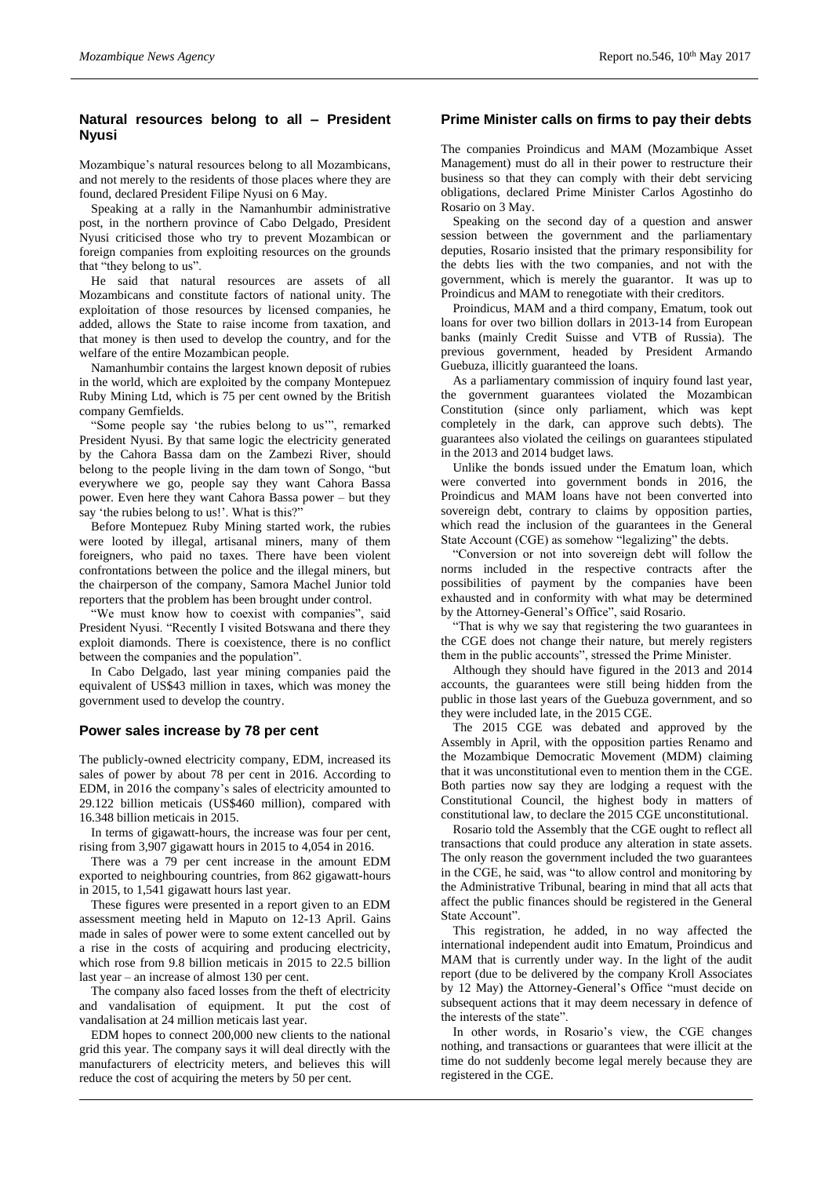### **Natural resources belong to all – President Nyusi**

Mozambique's natural resources belong to all Mozambicans, and not merely to the residents of those places where they are found, declared President Filipe Nyusi on 6 May.

Speaking at a rally in the Namanhumbir administrative post, in the northern province of Cabo Delgado, President Nyusi criticised those who try to prevent Mozambican or foreign companies from exploiting resources on the grounds that "they belong to us".

He said that natural resources are assets of all Mozambicans and constitute factors of national unity. The exploitation of those resources by licensed companies, he added, allows the State to raise income from taxation, and that money is then used to develop the country, and for the welfare of the entire Mozambican people.

Namanhumbir contains the largest known deposit of rubies in the world, which are exploited by the company Montepuez Ruby Mining Ltd, which is 75 per cent owned by the British company Gemfields.

"Some people say 'the rubies belong to us'", remarked President Nyusi. By that same logic the electricity generated by the Cahora Bassa dam on the Zambezi River, should belong to the people living in the dam town of Songo, "but everywhere we go, people say they want Cahora Bassa power. Even here they want Cahora Bassa power – but they say 'the rubies belong to us!'. What is this?"

Before Montepuez Ruby Mining started work, the rubies were looted by illegal, artisanal miners, many of them foreigners, who paid no taxes. There have been violent confrontations between the police and the illegal miners, but the chairperson of the company, Samora Machel Junior told reporters that the problem has been brought under control.

"We must know how to coexist with companies", said President Nyusi. "Recently I visited Botswana and there they exploit diamonds. There is coexistence, there is no conflict between the companies and the population".

In Cabo Delgado, last year mining companies paid the equivalent of US\$43 million in taxes, which was money the government used to develop the country.

## **Power sales increase by 78 per cent**

The publicly-owned electricity company, EDM, increased its sales of power by about 78 per cent in 2016. According to EDM, in 2016 the company's sales of electricity amounted to 29.122 billion meticais (US\$460 million), compared with 16.348 billion meticais in 2015.

In terms of gigawatt-hours, the increase was four per cent, rising from 3,907 gigawatt hours in 2015 to 4,054 in 2016.

There was a 79 per cent increase in the amount EDM exported to neighbouring countries, from 862 gigawatt-hours in 2015, to 1,541 gigawatt hours last year.

These figures were presented in a report given to an EDM assessment meeting held in Maputo on 12-13 April. Gains made in sales of power were to some extent cancelled out by a rise in the costs of acquiring and producing electricity, which rose from 9.8 billion meticais in 2015 to 22.5 billion last year – an increase of almost 130 per cent.

The company also faced losses from the theft of electricity and vandalisation of equipment. It put the cost of vandalisation at 24 million meticais last year.

EDM hopes to connect 200,000 new clients to the national grid this year. The company says it will deal directly with the manufacturers of electricity meters, and believes this will reduce the cost of acquiring the meters by 50 per cent.

#### **Prime Minister calls on firms to pay their debts**

The companies Proindicus and MAM (Mozambique Asset Management) must do all in their power to restructure their business so that they can comply with their debt servicing obligations, declared Prime Minister Carlos Agostinho do Rosario on 3 May.

Speaking on the second day of a question and answer session between the government and the parliamentary deputies, Rosario insisted that the primary responsibility for the debts lies with the two companies, and not with the government, which is merely the guarantor. It was up to Proindicus and MAM to renegotiate with their creditors.

Proindicus, MAM and a third company, Ematum, took out loans for over two billion dollars in 2013-14 from European banks (mainly Credit Suisse and VTB of Russia). The previous government, headed by President Armando Guebuza, illicitly guaranteed the loans.

As a parliamentary commission of inquiry found last year, the government guarantees violated the Mozambican Constitution (since only parliament, which was kept completely in the dark, can approve such debts). The guarantees also violated the ceilings on guarantees stipulated in the 2013 and 2014 budget laws.

Unlike the bonds issued under the Ematum loan, which were converted into government bonds in 2016, the Proindicus and MAM loans have not been converted into sovereign debt, contrary to claims by opposition parties, which read the inclusion of the guarantees in the General State Account (CGE) as somehow "legalizing" the debts.

"Conversion or not into sovereign debt will follow the norms included in the respective contracts after the possibilities of payment by the companies have been exhausted and in conformity with what may be determined by the Attorney-General's Office", said Rosario.

"That is why we say that registering the two guarantees in the CGE does not change their nature, but merely registers them in the public accounts", stressed the Prime Minister.

Although they should have figured in the 2013 and 2014 accounts, the guarantees were still being hidden from the public in those last years of the Guebuza government, and so they were included late, in the 2015 CGE.

The 2015 CGE was debated and approved by the Assembly in April, with the opposition parties Renamo and the Mozambique Democratic Movement (MDM) claiming that it was unconstitutional even to mention them in the CGE. Both parties now say they are lodging a request with the Constitutional Council, the highest body in matters of constitutional law, to declare the 2015 CGE unconstitutional.

Rosario told the Assembly that the CGE ought to reflect all transactions that could produce any alteration in state assets. The only reason the government included the two guarantees in the CGE, he said, was "to allow control and monitoring by the Administrative Tribunal, bearing in mind that all acts that affect the public finances should be registered in the General State Account".

This registration, he added, in no way affected the international independent audit into Ematum, Proindicus and MAM that is currently under way. In the light of the audit report (due to be delivered by the company Kroll Associates by 12 May) the Attorney-General's Office "must decide on subsequent actions that it may deem necessary in defence of the interests of the state".

In other words, in Rosario's view, the CGE changes nothing, and transactions or guarantees that were illicit at the time do not suddenly become legal merely because they are registered in the CGE.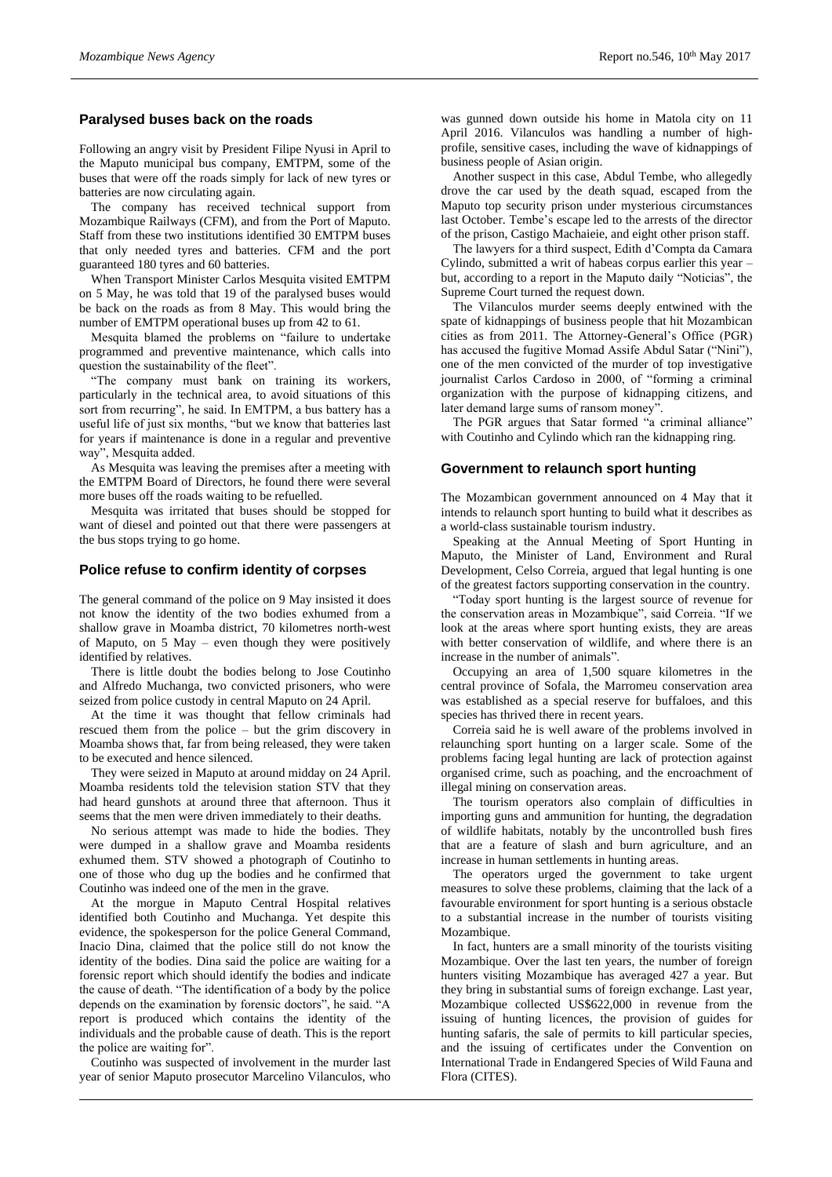#### **Paralysed buses back on the roads**

Following an angry visit by President Filipe Nyusi in April to the Maputo municipal bus company, EMTPM, some of the buses that were off the roads simply for lack of new tyres or batteries are now circulating again.

The company has received technical support from Mozambique Railways (CFM), and from the Port of Maputo. Staff from these two institutions identified 30 EMTPM buses that only needed tyres and batteries. CFM and the port guaranteed 180 tyres and 60 batteries.

When Transport Minister Carlos Mesquita visited EMTPM on 5 May, he was told that 19 of the paralysed buses would be back on the roads as from 8 May. This would bring the number of EMTPM operational buses up from 42 to 61.

Mesquita blamed the problems on "failure to undertake programmed and preventive maintenance, which calls into question the sustainability of the fleet".

"The company must bank on training its workers, particularly in the technical area, to avoid situations of this sort from recurring", he said. In EMTPM, a bus battery has a useful life of just six months, "but we know that batteries last for years if maintenance is done in a regular and preventive way", Mesquita added.

As Mesquita was leaving the premises after a meeting with the EMTPM Board of Directors, he found there were several more buses off the roads waiting to be refuelled.

Mesquita was irritated that buses should be stopped for want of diesel and pointed out that there were passengers at the bus stops trying to go home.

#### **Police refuse to confirm identity of corpses**

The general command of the police on 9 May insisted it does not know the identity of the two bodies exhumed from a shallow grave in Moamba district, 70 kilometres north-west of Maputo, on 5 May – even though they were positively identified by relatives.

There is little doubt the bodies belong to Jose Coutinho and Alfredo Muchanga, two convicted prisoners, who were seized from police custody in central Maputo on 24 April.

At the time it was thought that fellow criminals had rescued them from the police – but the grim discovery in Moamba shows that, far from being released, they were taken to be executed and hence silenced.

They were seized in Maputo at around midday on 24 April. Moamba residents told the television station STV that they had heard gunshots at around three that afternoon. Thus it seems that the men were driven immediately to their deaths.

No serious attempt was made to hide the bodies. They were dumped in a shallow grave and Moamba residents exhumed them. STV showed a photograph of Coutinho to one of those who dug up the bodies and he confirmed that Coutinho was indeed one of the men in the grave.

At the morgue in Maputo Central Hospital relatives identified both Coutinho and Muchanga. Yet despite this evidence, the spokesperson for the police General Command, Inacio Dina, claimed that the police still do not know the identity of the bodies. Dina said the police are waiting for a forensic report which should identify the bodies and indicate the cause of death. "The identification of a body by the police depends on the examination by forensic doctors", he said. "A report is produced which contains the identity of the individuals and the probable cause of death. This is the report the police are waiting for".

Coutinho was suspected of involvement in the murder last year of senior Maputo prosecutor Marcelino Vilanculos, who

was gunned down outside his home in Matola city on 11 April 2016. Vilanculos was handling a number of highprofile, sensitive cases, including the wave of kidnappings of business people of Asian origin.

Another suspect in this case, Abdul Tembe, who allegedly drove the car used by the death squad, escaped from the Maputo top security prison under mysterious circumstances last October. Tembe's escape led to the arrests of the director of the prison, Castigo Machaieie, and eight other prison staff.

The lawyers for a third suspect, Edith d'Compta da Camara Cylindo, submitted a writ of habeas corpus earlier this year – but, according to a report in the Maputo daily "Noticias", the Supreme Court turned the request down.

The Vilanculos murder seems deeply entwined with the spate of kidnappings of business people that hit Mozambican cities as from 2011. The Attorney-General's Office (PGR) has accused the fugitive Momad Assife Abdul Satar ("Nini"), one of the men convicted of the murder of top investigative journalist Carlos Cardoso in 2000, of "forming a criminal organization with the purpose of kidnapping citizens, and later demand large sums of ransom money".

The PGR argues that Satar formed "a criminal alliance" with Coutinho and Cylindo which ran the kidnapping ring.

#### **Government to relaunch sport hunting**

The Mozambican government announced on 4 May that it intends to relaunch sport hunting to build what it describes as a world-class sustainable tourism industry.

Speaking at the Annual Meeting of Sport Hunting in Maputo, the Minister of Land, Environment and Rural Development, Celso Correia, argued that legal hunting is one of the greatest factors supporting conservation in the country.

"Today sport hunting is the largest source of revenue for the conservation areas in Mozambique", said Correia. "If we look at the areas where sport hunting exists, they are areas with better conservation of wildlife, and where there is an increase in the number of animals".

Occupying an area of 1,500 square kilometres in the central province of Sofala, the Marromeu conservation area was established as a special reserve for buffaloes, and this species has thrived there in recent years.

Correia said he is well aware of the problems involved in relaunching sport hunting on a larger scale. Some of the problems facing legal hunting are lack of protection against organised crime, such as poaching, and the encroachment of illegal mining on conservation areas.

The tourism operators also complain of difficulties in importing guns and ammunition for hunting, the degradation of wildlife habitats, notably by the uncontrolled bush fires that are a feature of slash and burn agriculture, and an increase in human settlements in hunting areas.

The operators urged the government to take urgent measures to solve these problems, claiming that the lack of a favourable environment for sport hunting is a serious obstacle to a substantial increase in the number of tourists visiting Mozambique.

In fact, hunters are a small minority of the tourists visiting Mozambique. Over the last ten years, the number of foreign hunters visiting Mozambique has averaged 427 a year. But they bring in substantial sums of foreign exchange. Last year, Mozambique collected US\$622,000 in revenue from the issuing of hunting licences, the provision of guides for hunting safaris, the sale of permits to kill particular species, and the issuing of certificates under the Convention on International Trade in Endangered Species of Wild Fauna and Flora (CITES).